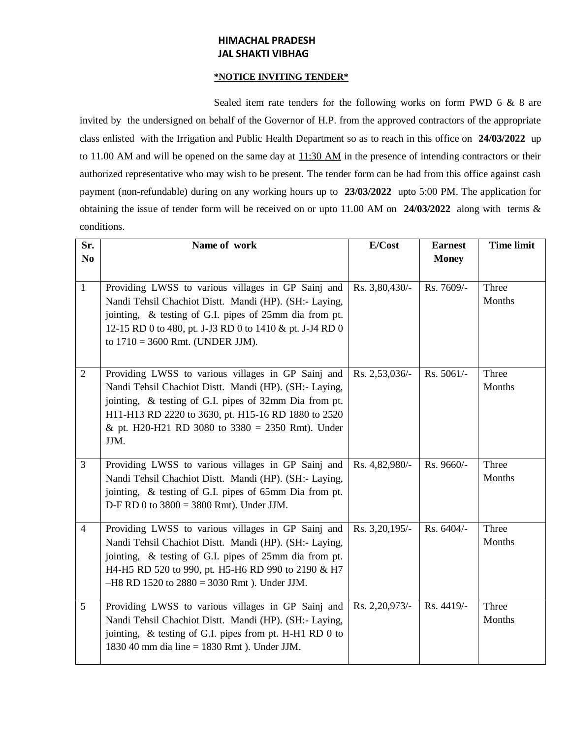# **HIMACHAL PRADESH JAL SHAKTI VIBHAG**

#### **\*NOTICE INVITING TENDER\***

Sealed item rate tenders for the following works on form PWD 6 & 8 are invited by the undersigned on behalf of the Governor of H.P. from the approved contractors of the appropriate class enlisted with the Irrigation and Public Health Department so as to reach in this office on **24/03/2022** up to 11.00 AM and will be opened on the same day at  $11:30$  AM in the presence of intending contractors or their authorized representative who may wish to be present. The tender form can be had from this office against cash payment (non-refundable) during on any working hours up to **23/03/2022** upto 5:00 PM. The application for obtaining the issue of tender form will be received on or upto 11.00 AM on **24/03/2022** along with terms & conditions.

| Sr.            | Name of work                                                                                                                                                                                                                                                                                | E/Cost         | <b>Earnest</b> | <b>Time limit</b> |
|----------------|---------------------------------------------------------------------------------------------------------------------------------------------------------------------------------------------------------------------------------------------------------------------------------------------|----------------|----------------|-------------------|
| N <sub>0</sub> |                                                                                                                                                                                                                                                                                             |                | <b>Money</b>   |                   |
| $\mathbf{1}$   | Providing LWSS to various villages in GP Sainj and<br>Nandi Tehsil Chachiot Distt. Mandi (HP). (SH:- Laying,<br>jointing, & testing of G.I. pipes of 25mm dia from pt.<br>12-15 RD 0 to 480, pt. J-J3 RD 0 to 1410 & pt. J-J4 RD 0<br>to $1710 = 3600$ Rmt. (UNDER JJM).                    | Rs. 3,80,430/- | Rs. 7609/-     | Three<br>Months   |
| $\overline{2}$ | Providing LWSS to various villages in GP Sainj and<br>Nandi Tehsil Chachiot Distt. Mandi (HP). (SH:- Laying,<br>jointing, & testing of G.I. pipes of 32mm Dia from pt.<br>H11-H13 RD 2220 to 3630, pt. H15-16 RD 1880 to 2520<br>& pt. H20-H21 RD 3080 to $3380 = 2350$ Rmt). Under<br>JJM. | Rs. 2,53,036/- | Rs. 5061/-     | Three<br>Months   |
| $\overline{3}$ | Providing LWSS to various villages in GP Sainj and<br>Nandi Tehsil Chachiot Distt. Mandi (HP). (SH:- Laying,<br>jointing, & testing of G.I. pipes of 65mm Dia from pt.<br>D-F RD 0 to $3800 = 3800$ Rmt). Under JJM.                                                                        | Rs. 4,82,980/- | Rs. 9660/-     | Three<br>Months   |
| $\overline{4}$ | Providing LWSS to various villages in GP Sainj and<br>Nandi Tehsil Chachiot Distt. Mandi (HP). (SH:- Laying,<br>jointing, & testing of G.I. pipes of 25mm dia from pt.<br>H4-H5 RD 520 to 990, pt. H5-H6 RD 990 to 2190 & H7<br>$-H8$ RD 1520 to 2880 = 3030 Rmt). Under JJM.               | Rs. 3,20,195/- | Rs. 6404/-     | Three<br>Months   |
| 5              | Providing LWSS to various villages in GP Sainj and<br>Nandi Tehsil Chachiot Distt. Mandi (HP). (SH:- Laying,<br>jointing, & testing of G.I. pipes from pt. H-H1 RD 0 to<br>1830 40 mm dia line = 1830 Rmt ). Under JJM.                                                                     | Rs. 2,20,973/- | Rs. 4419/-     | Three<br>Months   |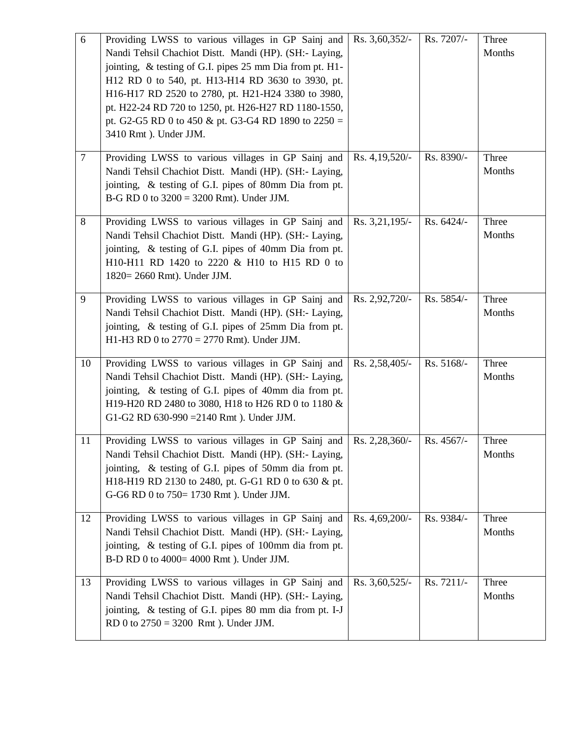| 6      | Providing LWSS to various villages in GP Sainj and<br>Nandi Tehsil Chachiot Distt. Mandi (HP). (SH:- Laying,<br>jointing, & testing of G.I. pipes 25 mm Dia from pt. H1-<br>H12 RD 0 to 540, pt. H13-H14 RD 3630 to 3930, pt.<br>H16-H17 RD 2520 to 2780, pt. H21-H24 3380 to 3980,<br>pt. H22-24 RD 720 to 1250, pt. H26-H27 RD 1180-1550,<br>pt. G2-G5 RD 0 to 450 & pt. G3-G4 RD 1890 to $2250 =$<br>3410 Rmt). Under JJM. | Rs. 3,60,352/-   | Rs. 7207/- | Three<br>Months |
|--------|-------------------------------------------------------------------------------------------------------------------------------------------------------------------------------------------------------------------------------------------------------------------------------------------------------------------------------------------------------------------------------------------------------------------------------|------------------|------------|-----------------|
| $\tau$ | Providing LWSS to various villages in GP Sainj and<br>Nandi Tehsil Chachiot Distt. Mandi (HP). (SH:- Laying,<br>jointing, & testing of G.I. pipes of 80mm Dia from pt.<br>$B-G RD 0$ to $3200 = 3200 Rmt$ ). Under JJM.                                                                                                                                                                                                       | Rs. $4,19,520/-$ | Rs. 8390/- | Three<br>Months |
| 8      | Providing LWSS to various villages in GP Sainj and<br>Nandi Tehsil Chachiot Distt. Mandi (HP). (SH:- Laying,<br>jointing, & testing of G.I. pipes of 40mm Dia from pt.<br>H10-H11 RD 1420 to 2220 & H10 to H15 RD 0 to<br>1820= 2660 Rmt). Under JJM.                                                                                                                                                                         | Rs. 3,21,195/-   | Rs. 6424/- | Three<br>Months |
| 9      | Providing LWSS to various villages in GP Sainj and<br>Nandi Tehsil Chachiot Distt. Mandi (HP). (SH:- Laying,<br>jointing, & testing of G.I. pipes of 25mm Dia from pt.<br>H1-H3 RD 0 to $2770 = 2770$ Rmt). Under JJM.                                                                                                                                                                                                        | Rs. 2,92,720/-   | Rs. 5854/- | Three<br>Months |
| 10     | Providing LWSS to various villages in GP Sainj and<br>Nandi Tehsil Chachiot Distt. Mandi (HP). (SH:- Laying,<br>jointing, & testing of G.I. pipes of 40mm dia from pt.<br>H19-H20 RD 2480 to 3080, H18 to H26 RD 0 to 1180 &<br>G1-G2 RD $630-990 = 2140$ Rmt). Under JJM.                                                                                                                                                    | Rs. 2,58,405/-   | Rs. 5168/- | Three<br>Months |
| 11     | Providing LWSS to various villages in GP Sainj and $\left  \right $ Rs. 2,28,360/-<br>Nandi Tehsil Chachiot Distt. Mandi (HP). (SH:- Laying,<br>jointing, & testing of G.I. pipes of 50mm dia from pt.<br>H18-H19 RD 2130 to 2480, pt. G-G1 RD 0 to 630 & pt.<br>G-G6 RD 0 to 750= 1730 Rmt). Under JJM.                                                                                                                      |                  | Rs. 4567/- | Three<br>Months |
| 12     | Providing LWSS to various villages in GP Sainj and<br>Nandi Tehsil Chachiot Distt. Mandi (HP). (SH:- Laying,<br>jointing, & testing of G.I. pipes of 100mm dia from pt.<br>B-D RD 0 to 4000= 4000 Rmt). Under JJM.                                                                                                                                                                                                            | Rs. 4,69,200/-   | Rs. 9384/- | Three<br>Months |
| 13     | Providing LWSS to various villages in GP Sainj and<br>Nandi Tehsil Chachiot Distt. Mandi (HP). (SH:- Laying,<br>jointing, & testing of G.I. pipes 80 mm dia from pt. I-J<br>RD 0 to $2750 = 3200$ Rmt). Under JJM.                                                                                                                                                                                                            | Rs. 3,60,525/-   | Rs. 7211/- | Three<br>Months |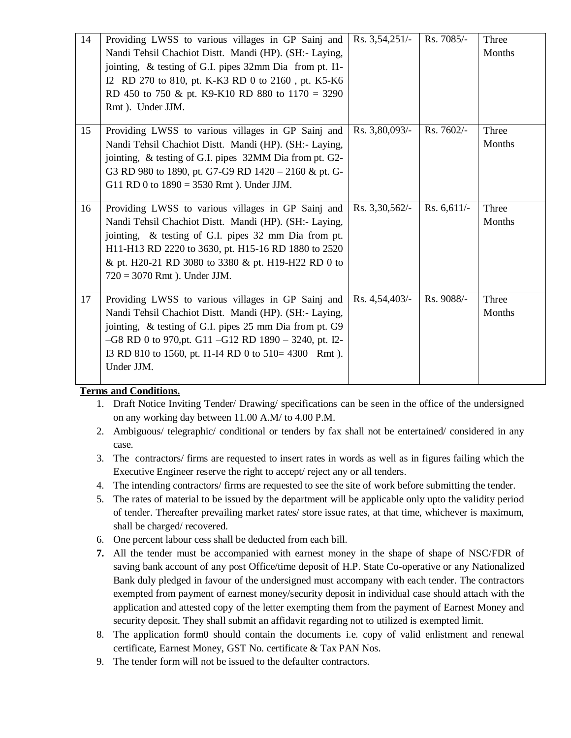| 14 | Providing LWSS to various villages in GP Sainj and<br>Nandi Tehsil Chachiot Distt. Mandi (HP). (SH:- Laying,<br>jointing, & testing of G.I. pipes 32mm Dia from pt. I1-<br>I2 RD 270 to 810, pt. K-K3 RD 0 to 2160, pt. K5-K6<br>RD 450 to 750 & pt. K9-K10 RD 880 to $1170 = 3290$<br>Rmt). Under JJM.            | Rs. $3,54,251/-$ | Rs. 7085/-    | Three<br>Months |
|----|--------------------------------------------------------------------------------------------------------------------------------------------------------------------------------------------------------------------------------------------------------------------------------------------------------------------|------------------|---------------|-----------------|
| 15 | Providing LWSS to various villages in GP Sainj and<br>Nandi Tehsil Chachiot Distt. Mandi (HP). (SH:- Laying,<br>jointing, & testing of G.I. pipes 32MM Dia from pt. G2-<br>G3 RD 980 to 1890, pt. G7-G9 RD 1420 - 2160 & pt. G-<br>G11 RD 0 to $1890 = 3530$ Rmt). Under JJM.                                      | Rs. 3,80,093/-   | Rs. 7602/-    | Three<br>Months |
| 16 | Providing LWSS to various villages in GP Sainj and<br>Nandi Tehsil Chachiot Distt. Mandi (HP). (SH:- Laying,<br>jointing, & testing of G.I. pipes 32 mm Dia from pt.<br>H11-H13 RD 2220 to 3630, pt. H15-16 RD 1880 to 2520<br>& pt. H20-21 RD 3080 to 3380 & pt. H19-H22 RD 0 to<br>$720 = 3070$ Rmt). Under JJM. | Rs. 3,30,562/-   | Rs. $6,611/-$ | Three<br>Months |
| 17 | Providing LWSS to various villages in GP Sainj and<br>Nandi Tehsil Chachiot Distt. Mandi (HP). (SH:- Laying,<br>jointing, & testing of G.I. pipes 25 mm Dia from pt. G9<br>$-G8$ RD 0 to 970, pt. G11 $-G12$ RD 1890 $-$ 3240, pt. I2-<br>I3 RD 810 to 1560, pt. I1-I4 RD 0 to 510= 4300 Rmt).<br>Under JJM.       | Rs. 4,54,403/-   | Rs. 9088/-    | Three<br>Months |

### **Terms and Conditions.**

- 1. Draft Notice Inviting Tender/ Drawing/ specifications can be seen in the office of the undersigned on any working day between 11.00 A.M/ to 4.00 P.M.
- 2. Ambiguous/ telegraphic/ conditional or tenders by fax shall not be entertained/ considered in any case.
- 3. The contractors/ firms are requested to insert rates in words as well as in figures failing which the Executive Engineer reserve the right to accept/ reject any or all tenders.
- 4. The intending contractors/ firms are requested to see the site of work before submitting the tender.
- 5. The rates of material to be issued by the department will be applicable only upto the validity period of tender. Thereafter prevailing market rates/ store issue rates, at that time, whichever is maximum, shall be charged/ recovered.
- 6. One percent labour cess shall be deducted from each bill.
- **7.** All the tender must be accompanied with earnest money in the shape of shape of NSC/FDR of saving bank account of any post Office/time deposit of H.P. State Co-operative or any Nationalized Bank duly pledged in favour of the undersigned must accompany with each tender. The contractors exempted from payment of earnest money/security deposit in individual case should attach with the application and attested copy of the letter exempting them from the payment of Earnest Money and security deposit. They shall submit an affidavit regarding not to utilized is exempted limit.
- 8. The application form0 should contain the documents i.e. copy of valid enlistment and renewal certificate, Earnest Money, GST No. certificate & Tax PAN Nos.
- 9. The tender form will not be issued to the defaulter contractors.